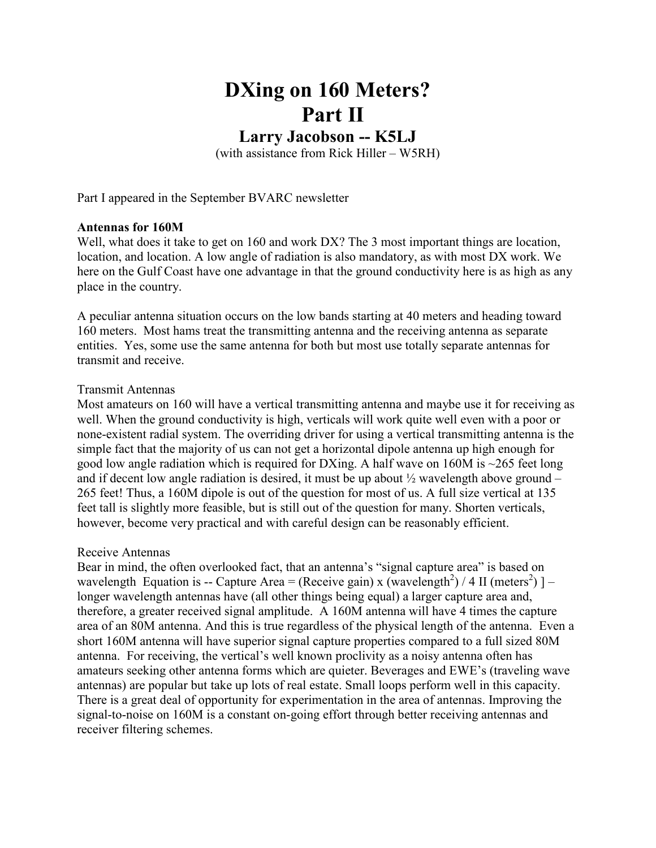# DXing on 160 Meters? Part II

# Larry Jacobson -- K5LJ

(with assistance from Rick Hiller – W5RH)

Part I appeared in the September BVARC newsletter

#### Antennas for 160M

Well, what does it take to get on 160 and work DX? The 3 most important things are location, location, and location. A low angle of radiation is also mandatory, as with most DX work. We here on the Gulf Coast have one advantage in that the ground conductivity here is as high as any place in the country.

A peculiar antenna situation occurs on the low bands starting at 40 meters and heading toward 160 meters. Most hams treat the transmitting antenna and the receiving antenna as separate entities. Yes, some use the same antenna for both but most use totally separate antennas for transmit and receive.

#### Transmit Antennas

Most amateurs on 160 will have a vertical transmitting antenna and maybe use it for receiving as well. When the ground conductivity is high, verticals will work quite well even with a poor or none-existent radial system. The overriding driver for using a vertical transmitting antenna is the simple fact that the majority of us can not get a horizontal dipole antenna up high enough for good low angle radiation which is required for DXing. A half wave on 160M is  $\sim$ 265 feet long and if decent low angle radiation is desired, it must be up about  $\frac{1}{2}$  wavelength above ground – 265 feet! Thus, a 160M dipole is out of the question for most of us. A full size vertical at 135 feet tall is slightly more feasible, but is still out of the question for many. Shorten verticals, however, become very practical and with careful design can be reasonably efficient.

#### Receive Antennas

Bear in mind, the often overlooked fact, that an antenna's "signal capture area" is based on wavelength Equation is -- Capture Area = (Receive gain) x (wavelength<sup>2</sup>) / 4 II (meters<sup>2</sup>) ] – longer wavelength antennas have (all other things being equal) a larger capture area and, therefore, a greater received signal amplitude. A 160M antenna will have 4 times the capture area of an 80M antenna. And this is true regardless of the physical length of the antenna. Even a short 160M antenna will have superior signal capture properties compared to a full sized 80M antenna. For receiving, the vertical's well known proclivity as a noisy antenna often has amateurs seeking other antenna forms which are quieter. Beverages and EWE's (traveling wave antennas) are popular but take up lots of real estate. Small loops perform well in this capacity. There is a great deal of opportunity for experimentation in the area of antennas. Improving the signal-to-noise on 160M is a constant on-going effort through better receiving antennas and receiver filtering schemes.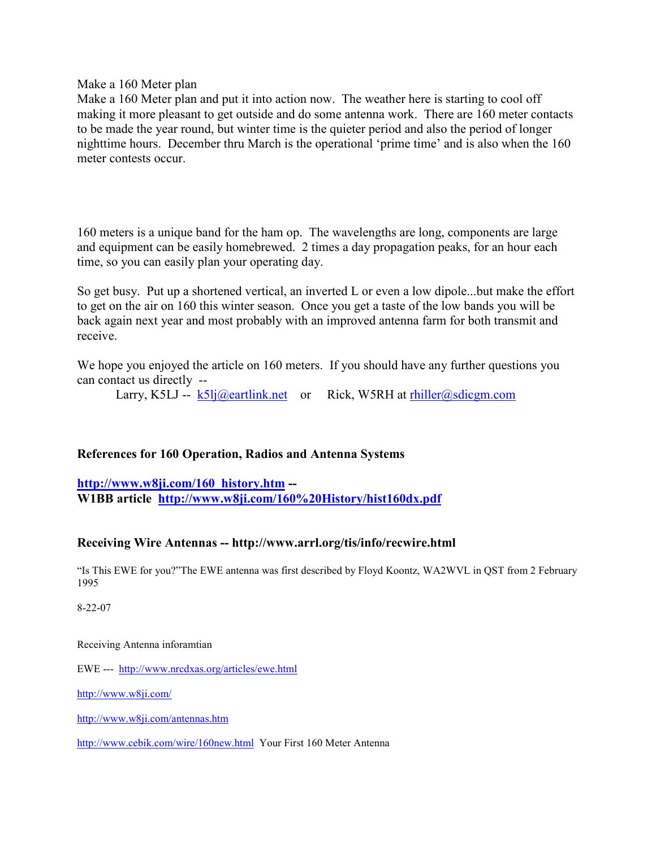Make a 160 Meter plan

Make a 160 Meter plan and put it into action now. The weather here is starting to cool off making it more pleasant to get outside and do some antenna work. There are 160 meter contacts to be made the year round, but winter time is the quieter period and also the period of longer nighttime hours. December thru March is the operational 'prime time' and is also when the 160 meter contests occur.

160 meters is a unique band for the ham op. The wavelengths are long, components are large and equipment can be easily homebrewed. 2 times a day propagation peaks, for an hour each time, so you can easily plan your operating day.

So get busy. Put up a shortened vertical, an inverted L or even a low dipole...but make the effort to get on the air on 160 this winter season. Once you get a taste of the low bands you will be back again next year and most probably with an improved antenna farm for both transmit and receive.

We hope you enjoyed the article on 160 meters. If you should have any further questions you can contact us directly --

Larry, K5LJ --  $k5li(\omega)$ eartlink.net or Rick, W5RH at rhiller $(\omega)$ sdicgm.com

## References for 160 Operation, Radios and Antenna Systems

http://www.w8ji.com/160\_history.htm --W1BB article http://www.w8ji.com/160%20History/hist160dx.pdf

## Receiving Wire Antennas -- http://www.arrl.org/tis/info/recwire.html

"Is This EWE for you?"The EWE antenna was first described by Floyd Koontz, WA2WVL in QST from 2 February 1995

8-22-07

Receiving Antenna inforamtian

EWE --- http://www.nrcdxas.org/articles/ewe.html

http://www.w8ji.com/

http://www.w8ji.com/antennas.htm

http://www.cebik.com/wire/160new.html Your First 160 Meter Antenna